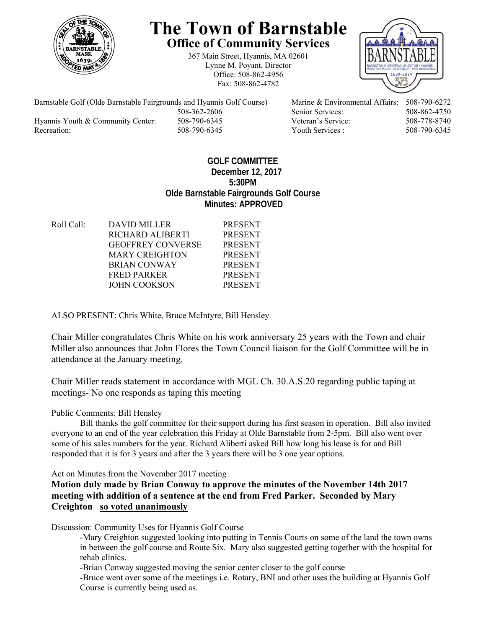

# **The Town of Barnstable Office of Community Services**

367 Main Street, Hyannis, MA 02601 Lynne M. Poyant, Director Office: 508-862-4956 Fax: 508-862-4782



Barnstable Golf (Olde Barnstable Fairgrounds and Hyannis Golf Course) Marine & Environmental Affairs: 508-790-6272 508-362-2606 Senior Services: 508-862-4750 Hyannis Youth & Community Center: 508-790-6345 Veteran's Service: 508-778-8740 Recreation: 508-790-6345 Youth Services : 508-790-6345 S08-790-6345

## **GOLF COMMITTEE December 12, 2017 5:30PM Olde Barnstable Fairgrounds Golf Course Minutes: APPROVED**

| <b>DAVID MILLER</b>      | <b>PRESENT</b> |
|--------------------------|----------------|
| RICHARD ALIBERTI         | <b>PRESENT</b> |
| <b>GEOFFREY CONVERSE</b> | <b>PRESENT</b> |
| <b>MARY CREIGHTON</b>    | <b>PRESENT</b> |
| <b>BRIAN CONWAY</b>      | <b>PRESENT</b> |
| <b>FRED PARKER</b>       | <b>PRESENT</b> |
| JOHN COOKSON             | <b>PRESENT</b> |
|                          |                |

ALSO PRESENT: Chris White, Bruce McIntyre, Bill Hensley

Chair Miller congratulates Chris White on his work anniversary 25 years with the Town and chair Miller also announces that John Flores the Town Council liaison for the Golf Committee will be in attendance at the January meeting.

Chair Miller reads statement in accordance with MGL Ch. 30.A.S.20 regarding public taping at meetings- No one responds as taping this meeting

Public Comments: Bill Hensley

 Bill thanks the golf committee for their support during his first season in operation. Bill also invited everyone to an end of the year celebration this Friday at Olde Barnstable from 2-5pm. Bill also went over some of his sales numbers for the year. Richard Aliberti asked Bill how long his lease is for and Bill responded that it is for 3 years and after the 3 years there will be 3 one year options.

Act on Minutes from the November 2017 meeting

**Motion duly made by Brian Conway to approve the minutes of the November 14th 2017 meeting with addition of a sentence at the end from Fred Parker. Seconded by Mary Creighton so voted unanimously**

Discussion: Community Uses for Hyannis Golf Course

-Mary Creighton suggested looking into putting in Tennis Courts on some of the land the town owns in between the golf course and Route Six. Mary also suggested getting together with the hospital for rehab clinics.

-Brian Conway suggested moving the senior center closer to the golf course

-Bruce went over some of the meetings i.e. Rotary, BNI and other uses the building at Hyannis Golf Course is currently being used as.